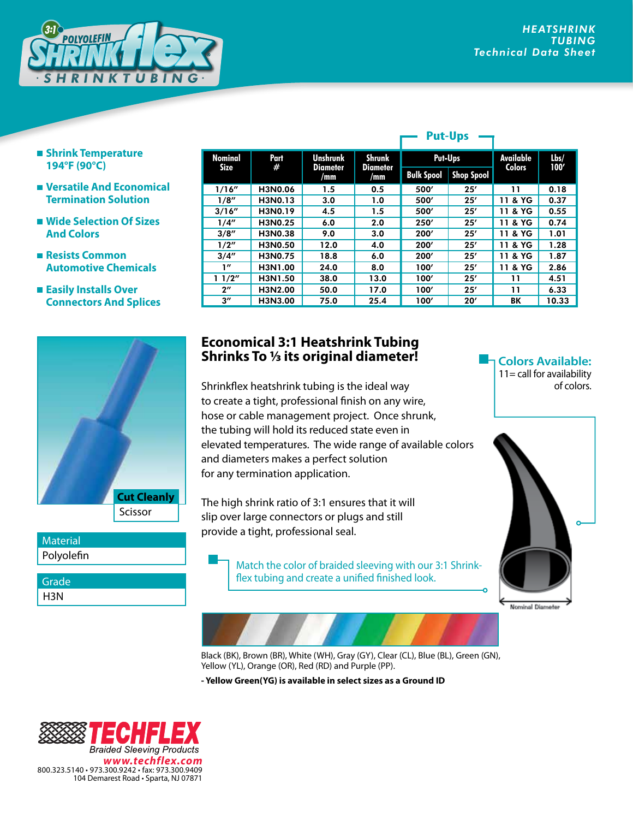**Colors Available:**  $11 =$  call for availability

Nominal Diameter

of colors.



- **Shrink Temperature 194°F (90°C)**
- **Versatile And Economical Termination Solution**
- **Wide Selection Of Sizes And Colors**
- **Resists Common Automotive Chemicals**
- **Easily Installs Over Connectors And Splices**



Polyolefin **Material** 

H3N **Grade** 

|  | <b>Nominal</b><br><b>Size</b> | Part<br># | <b>Unshrunk</b><br><b>Diameter</b><br>/mm | <b>Shrunk</b><br>Diameter<br>/mm | Put-Ups           |                   | <b>Available</b> | Lbs/  |
|--|-------------------------------|-----------|-------------------------------------------|----------------------------------|-------------------|-------------------|------------------|-------|
|  |                               |           |                                           |                                  | <b>Bulk Spool</b> | <b>Shop Spool</b> | <b>Colors</b>    | 100'  |
|  | 1/16''                        | H3N0.06   | 1.5                                       | 0.5                              | 500'              | 25'               | 11               | 0.18  |
|  | 1/8''                         | H3N0.13   | 3.0                                       | 1.0                              | 500'              | 25'               | & YG<br>11       | 0.37  |
|  | 3/16''                        | H3N0.19   | 4.5                                       | 1.5                              | 500'              | 25'               | 11 & YG          | 0.55  |
|  | 1/4''                         | H3N0.25   | 6.0                                       | 2.0                              | 250'              | 25'               | 11 & YG          | 0.74  |
|  | 3/8''                         | H3N0.38   | 9.0                                       | 3.0                              | 200'              | 25'               | & YG<br>11       | 1.01  |
|  | 1/2''                         | H3N0.50   | 12.0                                      | 4.0                              | 200'              | 25'               | 11 & YG          | 1.28  |
|  | 3/4''                         | H3N0.75   | 18.8                                      | 6.0                              | 200'              | 25'               | & YG<br>11       | 1.87  |
|  | 1''                           | H3N1.00   | 24.0                                      | 8.0                              | 100'              | 25'               | 11 & YG          | 2.86  |
|  | 11/2"                         | H3N1.50   | 38.0                                      | 13.0                             | 100'              | 25'               | 11               | 4.51  |
|  | $2^{\prime\prime}$            | H3N2.00   | 50.0                                      | 17.0                             | 100'              | 25'               | 11               | 6.33  |
|  | $3^{\prime\prime}$            | H3N3.00   | 75.0                                      | 25.4                             | 100'              | 20'               | BК               | 10.33 |

**Put-Ups**

## **Economical 3:1 Heatshrink Tubing Shrinks To 1/3 its original diameter!**

Shrinkflex heatshrink tubing is the ideal way to create a tight, professional finish on any wire, hose or cable management project. Once shrunk, the tubing will hold its reduced state even in elevated temperatures. The wide range of available colors and diameters makes a perfect solution for any termination application.

The high shrink ratio of 3:1 ensures that it will slip over large connectors or plugs and still provide a tight, professional seal.

> Match the color of braided sleeving with our 3:1 Shrinkflex tubing and create a unified finished look.

Black (BK), Brown (BR), White (WH), Gray (GY), Clear (CL), Blue (BL), Green (GN), Yellow (YL), Orange (OR), Red (RD) and Purple (PP).

**- Yellow Green(YG) is available in select sizes as a Ground ID**